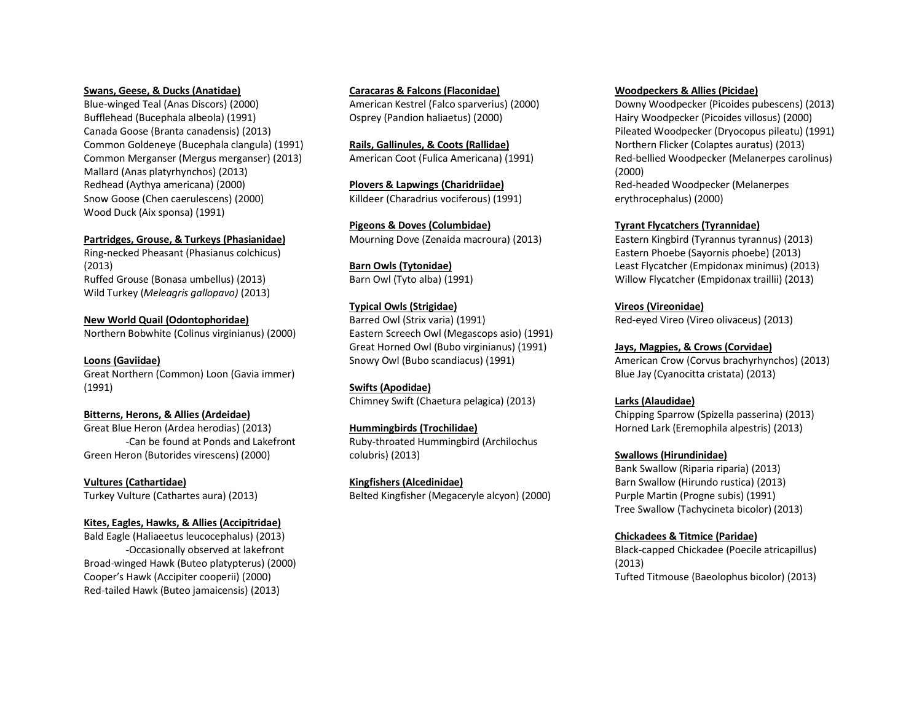#### **Swans, Geese, & Ducks (Anatidae)**

Blue-winged Teal (Anas Discors) (2000) Bufflehead (Bucephala albeola) (1991) Canada Goose (Branta canadensis) (2013) Common Goldeneye (Bucephala clangula) (1991) Common Merganser (Mergus merganser) (2013) Mallard (Anas platyrhynchos) (2013) Redhead (Aythya americana) (2000) Snow Goose (Chen caerulescens) (2000) Wood Duck (Aix sponsa) (1991)

#### **Partridges, Grouse, & Turkeys (Phasianidae)**

Ring-necked Pheasant (Phasianus colchicus) (2013) Ruffed Grouse (Bonasa umbellus) (2013) Wild Turkey (*Meleagris gallopavo)* (2013)

#### **New World Quail (Odontophoridae)**

Northern Bobwhite (Colinus virginianus) (2000)

#### **Loons (Gaviidae)**

Great Northern (Common) Loon (Gavia immer) (1991)

#### **Bitterns, Herons, & Allies (Ardeidae)**

Great Blue Heron (Ardea herodias) (2013) -Can be found at Ponds and Lakefront Green Heron (Butorides virescens) (2000)

**Vultures (Cathartidae)** Turkey Vulture (Cathartes aura) (2013)

#### **Kites, Eagles, Hawks, & Allies (Accipitridae)**

Bald Eagle (Haliaeetus leucocephalus) (2013) -Occasionally observed at lakefront Broad-winged Hawk (Buteo platypterus) (2000) Cooper's Hawk (Accipiter cooperii) (2000) Red-tailed Hawk (Buteo jamaicensis) (2013)

**Caracaras & Falcons (Flaconidae)** American Kestrel (Falco sparverius) (2000) Osprey (Pandion haliaetus) (2000)

**Rails, Gallinules, & Coots (Rallidae)** American Coot (Fulica Americana) (1991)

**Plovers & Lapwings (Charidriidae)** Killdeer (Charadrius vociferous) (1991)

**Pigeons & Doves (Columbidae)** Mourning Dove (Zenaida macroura) (2013)

**Barn Owls (Tytonidae)** Barn Owl (Tyto alba) (1991)

#### **Typical Owls (Strigidae)**

Barred Owl (Strix varia) (1991) Eastern Screech Owl (Megascops asio) (1991) Great Horned Owl (Bubo virginianus) (1991) Snowy Owl (Bubo scandiacus) (1991)

**Swifts (Apodidae)** Chimney Swift (Chaetura pelagica) (2013)

**Hummingbirds (Trochilidae)**

Ruby-throated Hummingbird (Archilochus colubris) (2013)

**Kingfishers (Alcedinidae)** Belted Kingfisher (Megaceryle alcyon) (2000)

#### **Woodpeckers & Allies (Picidae)**

Downy Woodpecker (Picoides pubescens) (2013) Hairy Woodpecker (Picoides villosus) (2000) Pileated Woodpecker (Dryocopus pileatu) (1991) Northern Flicker (Colaptes auratus) (2013) Red-bellied Woodpecker (Melanerpes carolinus) (2000) Red-headed Woodpecker (Melanerpes erythrocephalus) (2000)

#### **Tyrant Flycatchers (Tyrannidae)**

Eastern Kingbird (Tyrannus tyrannus) (2013) Eastern Phoebe (Sayornis phoebe) (2013) Least Flycatcher (Empidonax minimus) (2013) Willow Flycatcher (Empidonax traillii) (2013)

**Vireos (Vireonidae)** Red-eyed Vireo (Vireo olivaceus) (2013)

**Jays, Magpies, & Crows (Corvidae)** American Crow (Corvus brachyrhynchos) (2013) Blue Jay (Cyanocitta cristata) (2013)

**Larks (Alaudidae)** Chipping Sparrow (Spizella passerina) (2013) Horned Lark (Eremophila alpestris) (2013)

#### **Swallows (Hirundinidae)**

Bank Swallow (Riparia riparia) (2013) Barn Swallow (Hirundo rustica) (2013) Purple Martin (Progne subis) (1991) Tree Swallow (Tachycineta bicolor) (2013)

**Chickadees & Titmice (Paridae)**

Black-capped Chickadee (Poecile atricapillus) (2013) Tufted Titmouse (Baeolophus bicolor) (2013)